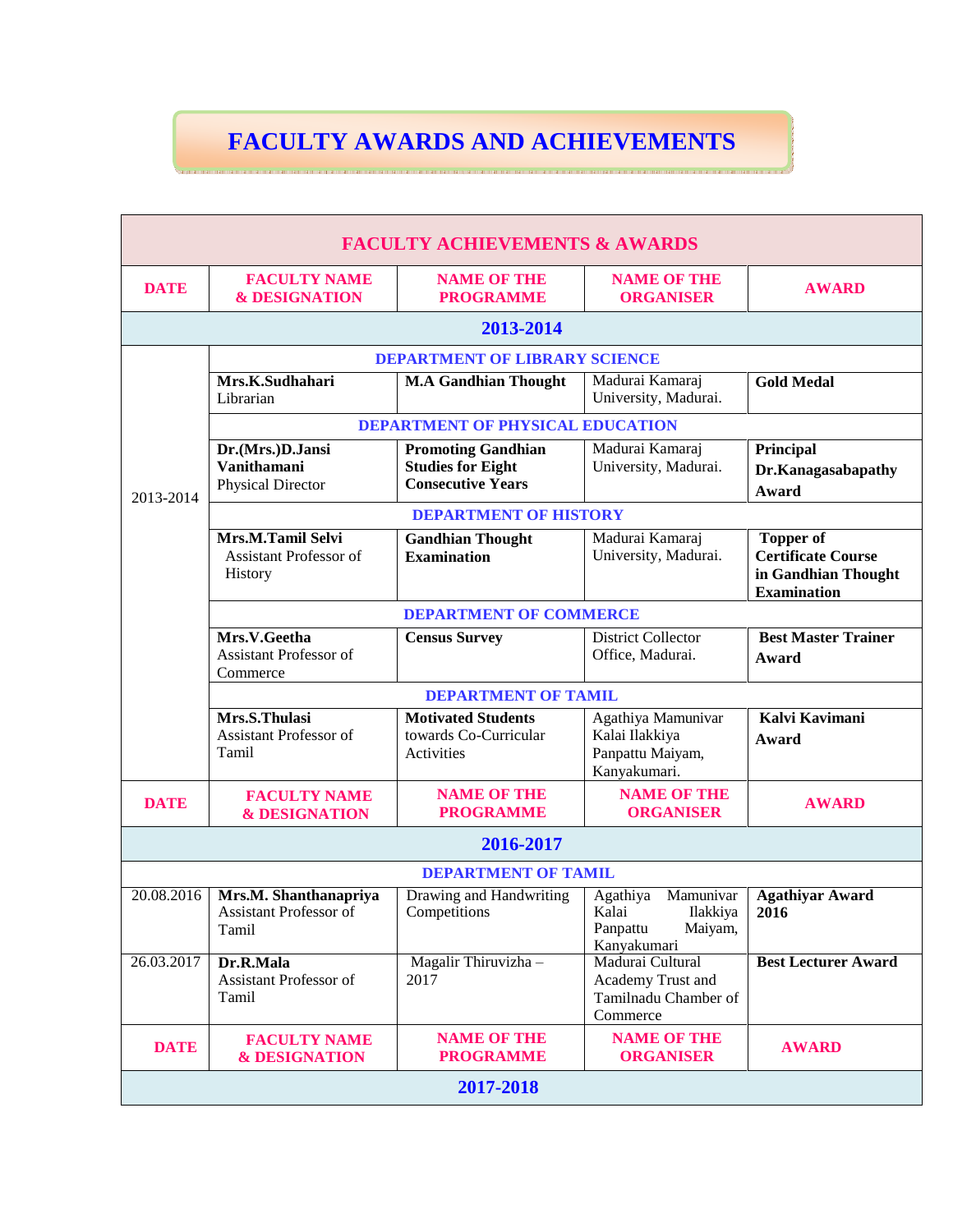## **FACULTY AWARDS AND ACHIEVEMENTS**

|                                      |                                                                                                                                                                                   | <b>FACULTY ACHIEVEMENTS &amp; AWARDS</b>                                          |                                                                                  |                                                                                            |  |  |  |  |  |  |
|--------------------------------------|-----------------------------------------------------------------------------------------------------------------------------------------------------------------------------------|-----------------------------------------------------------------------------------|----------------------------------------------------------------------------------|--------------------------------------------------------------------------------------------|--|--|--|--|--|--|
| <b>DATE</b>                          | <b>FACULTY NAME</b><br><b>&amp; DESIGNATION</b>                                                                                                                                   | <b>NAME OF THE</b><br><b>PROGRAMME</b>                                            | <b>NAME OF THE</b><br><b>ORGANISER</b>                                           | <b>AWARD</b>                                                                               |  |  |  |  |  |  |
| 2013-2014                            |                                                                                                                                                                                   |                                                                                   |                                                                                  |                                                                                            |  |  |  |  |  |  |
| <b>DEPARTMENT OF LIBRARY SCIENCE</b> |                                                                                                                                                                                   |                                                                                   |                                                                                  |                                                                                            |  |  |  |  |  |  |
|                                      | Mrs.K.Sudhahari<br>Librarian                                                                                                                                                      | <b>M.A Gandhian Thought</b>                                                       | Madurai Kamaraj<br>University, Madurai.                                          | <b>Gold Medal</b>                                                                          |  |  |  |  |  |  |
|                                      | <b>DEPARTMENT OF PHYSICAL EDUCATION</b>                                                                                                                                           |                                                                                   |                                                                                  |                                                                                            |  |  |  |  |  |  |
| 2013-2014                            | Dr.(Mrs.)D.Jansi<br><b>Vanithamani</b><br><b>Physical Director</b>                                                                                                                | <b>Promoting Gandhian</b><br><b>Studies for Eight</b><br><b>Consecutive Years</b> | Madurai Kamaraj<br>University, Madurai.                                          | Principal<br>Dr.Kanagasabapathy<br>Award                                                   |  |  |  |  |  |  |
|                                      | <b>DEPARTMENT OF HISTORY</b>                                                                                                                                                      |                                                                                   |                                                                                  |                                                                                            |  |  |  |  |  |  |
|                                      | Mrs.M.Tamil Selvi<br><b>Assistant Professor of</b><br>History                                                                                                                     | <b>Gandhian Thought</b><br><b>Examination</b>                                     | Madurai Kamaraj<br>University, Madurai.                                          | <b>Topper of</b><br><b>Certificate Course</b><br>in Gandhian Thought<br><b>Examination</b> |  |  |  |  |  |  |
|                                      |                                                                                                                                                                                   | <b>DEPARTMENT OF COMMERCE</b>                                                     |                                                                                  |                                                                                            |  |  |  |  |  |  |
|                                      | Mrs.V.Geetha<br><b>Assistant Professor of</b><br>Commerce                                                                                                                         | <b>Census Survey</b>                                                              | <b>District Collector</b><br>Office, Madurai.                                    | <b>Best Master Trainer</b><br>Award                                                        |  |  |  |  |  |  |
|                                      | <b>DEPARTMENT OF TAMIL</b>                                                                                                                                                        |                                                                                   |                                                                                  |                                                                                            |  |  |  |  |  |  |
|                                      | Mrs.S.Thulasi<br><b>Motivated Students</b><br><b>Assistant Professor of</b><br>towards Co-Curricular<br>Kalai Ilakkiya<br>Tamil<br>Panpattu Maiyam,<br>Activities<br>Kanyakumari. |                                                                                   | Agathiya Mamunivar                                                               | Kalvi Kavimani<br>Award                                                                    |  |  |  |  |  |  |
| <b>DATE</b>                          | <b>FACULTY NAME</b><br><b>&amp; DESIGNATION</b>                                                                                                                                   | <b>NAME OF THE</b><br><b>PROGRAMME</b>                                            | <b>NAME OF THE</b><br><b>ORGANISER</b>                                           | <b>AWARD</b>                                                                               |  |  |  |  |  |  |
|                                      |                                                                                                                                                                                   | 2016-2017                                                                         |                                                                                  |                                                                                            |  |  |  |  |  |  |
|                                      |                                                                                                                                                                                   | <b>DEPARTMENT OF TAMIL</b>                                                        |                                                                                  |                                                                                            |  |  |  |  |  |  |
| 20.08.2016                           | Mrs.M. Shanthanapriya<br>Assistant Professor of<br>Tamil                                                                                                                          | Drawing and Handwriting<br>Competitions                                           | Mamunivar<br>Agathiya<br>Kalai<br>Ilakkiya<br>Panpattu<br>Maiyam,<br>Kanyakumari | <b>Agathiyar Award</b><br>2016                                                             |  |  |  |  |  |  |
| 26.03.2017                           | Dr.R.Mala<br>Assistant Professor of<br>Tamil                                                                                                                                      | Magalir Thiruvizha -<br>2017                                                      | Madurai Cultural<br>Academy Trust and<br>Tamilnadu Chamber of<br>Commerce        | <b>Best Lecturer Award</b>                                                                 |  |  |  |  |  |  |
| <b>DATE</b>                          | <b>FACULTY NAME</b><br><b>&amp; DESIGNATION</b>                                                                                                                                   | <b>NAME OF THE</b><br><b>PROGRAMME</b>                                            | <b>NAME OF THE</b><br><b>ORGANISER</b>                                           | <b>AWARD</b>                                                                               |  |  |  |  |  |  |
|                                      |                                                                                                                                                                                   | 2017-2018                                                                         |                                                                                  |                                                                                            |  |  |  |  |  |  |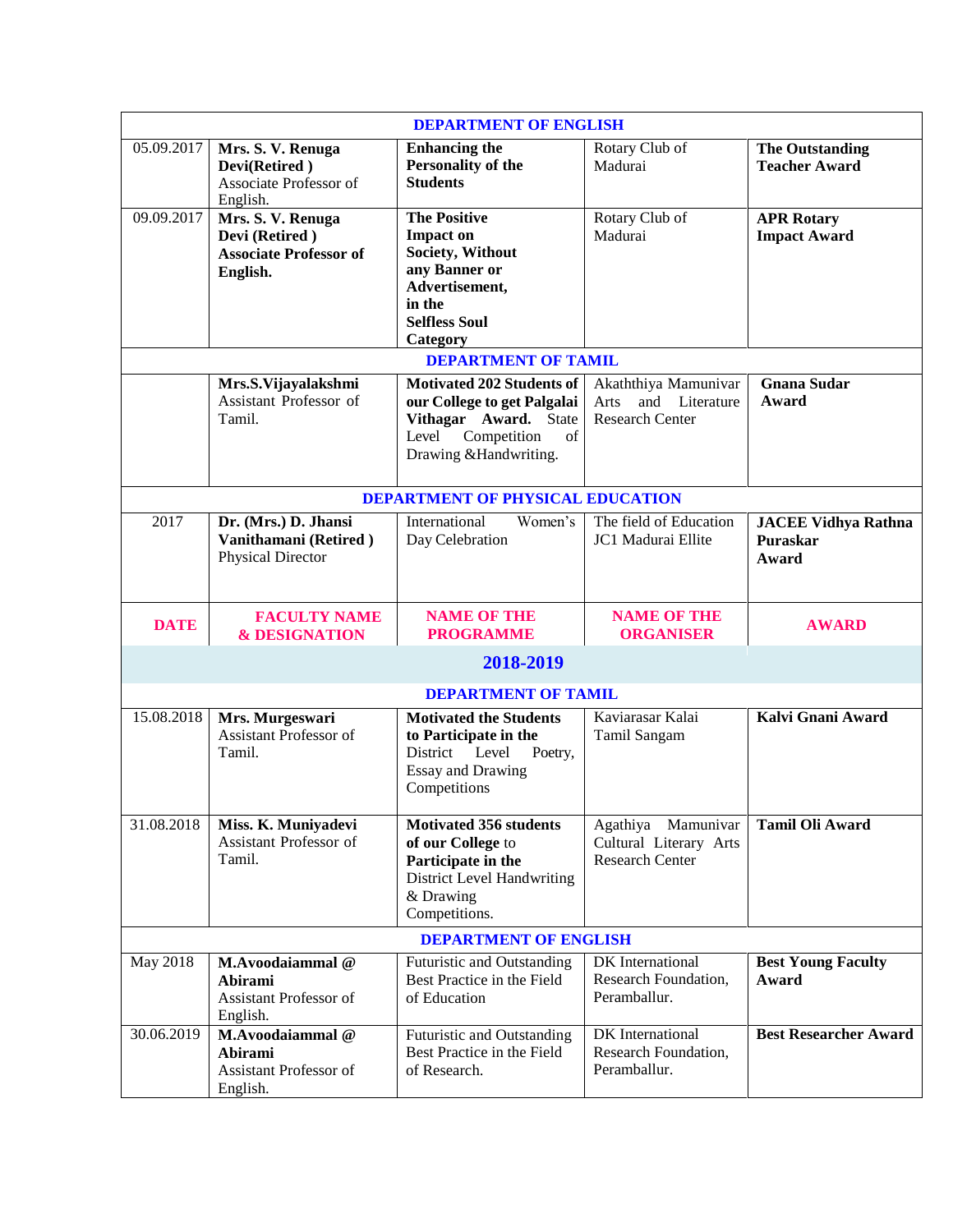| <b>DEPARTMENT OF ENGLISH</b> |                                                                                  |                                                                                                                                                          |                                                                        |                                                 |  |  |  |
|------------------------------|----------------------------------------------------------------------------------|----------------------------------------------------------------------------------------------------------------------------------------------------------|------------------------------------------------------------------------|-------------------------------------------------|--|--|--|
| 05.09.2017                   | Mrs. S. V. Renuga<br>Devi(Retired)<br>Associate Professor of<br>English.         | <b>Enhancing the</b><br>Personality of the<br><b>Students</b>                                                                                            | Rotary Club of<br>Madurai                                              | <b>The Outstanding</b><br><b>Teacher Award</b>  |  |  |  |
| 09.09.2017                   | Mrs. S. V. Renuga<br>Devi (Retired)<br><b>Associate Professor of</b><br>English. | <b>The Positive</b><br><b>Impact on</b><br>Society, Without<br>any Banner or<br>Advertisement,<br>in the<br><b>Selfless Soul</b><br>Category             | Rotary Club of<br>Madurai                                              | <b>APR Rotary</b><br><b>Impact Award</b>        |  |  |  |
|                              |                                                                                  | <b>DEPARTMENT OF TAMIL</b>                                                                                                                               |                                                                        |                                                 |  |  |  |
|                              | Mrs.S.Vijayalakshmi<br>Assistant Professor of<br>Tamil.                          | <b>Motivated 202 Students of</b><br>our College to get Palgalai<br>Vithagar Award. State<br>Level<br>Competition<br>$\sigma$ f<br>Drawing & Handwriting. | Akaththiya Mamunivar<br>Arts and Literature<br><b>Research Center</b>  | <b>Gnana Sudar</b><br>Award                     |  |  |  |
|                              |                                                                                  | <b>DEPARTMENT OF PHYSICAL EDUCATION</b>                                                                                                                  |                                                                        |                                                 |  |  |  |
| 2017                         | Dr. (Mrs.) D. Jhansi<br>Vanithamani (Retired)<br><b>Physical Director</b>        | Women's<br>International<br>Day Celebration                                                                                                              | The field of Education<br>JC1 Madurai Ellite                           | <b>JACEE Vidhya Rathna</b><br>Puraskar<br>Award |  |  |  |
| <b>DATE</b>                  | <b>FACULTY NAME</b><br><b>&amp; DESIGNATION</b>                                  | <b>NAME OF THE</b><br><b>PROGRAMME</b>                                                                                                                   | <b>NAME OF THE</b><br><b>ORGANISER</b>                                 | <b>AWARD</b>                                    |  |  |  |
| 2018-2019                    |                                                                                  |                                                                                                                                                          |                                                                        |                                                 |  |  |  |
|                              |                                                                                  | <b>DEPARTMENT OF TAMIL</b>                                                                                                                               |                                                                        |                                                 |  |  |  |
| 15.08.2018                   | Mrs. Murgeswari<br>Assistant Professor of<br>Tamil.                              | <b>Motivated the Students</b><br>to Participate in the<br>District Level<br>Poetry,<br><b>Essay and Drawing</b><br>Competitions                          | Kaviarasar Kalai<br>Tamil Sangam                                       | Kalvi Gnani Award                               |  |  |  |
| 31.08.2018                   | Miss. K. Muniyadevi<br>Assistant Professor of<br>Tamil.                          | Motivated 356 students<br>of our College to<br>Participate in the<br><b>District Level Handwriting</b><br>& Drawing<br>Competitions.                     | Agathiya Mamunivar<br>Cultural Literary Arts<br><b>Research Center</b> | <b>Tamil Oli Award</b>                          |  |  |  |
| <b>DEPARTMENT OF ENGLISH</b> |                                                                                  |                                                                                                                                                          |                                                                        |                                                 |  |  |  |
| May 2018                     | M.Avoodaiammal@<br>Abirami<br>Assistant Professor of<br>English.                 | Futuristic and Outstanding<br>Best Practice in the Field<br>of Education                                                                                 | DK International<br>Research Foundation,<br>Peramballur.               | <b>Best Young Faculty</b><br>Award              |  |  |  |
| 30.06.2019                   | M.Avoodaiammal@<br>Abirami<br>Assistant Professor of<br>English.                 | Futuristic and Outstanding<br>Best Practice in the Field<br>of Research.                                                                                 | DK International<br>Research Foundation,<br>Peramballur.               | <b>Best Researcher Award</b>                    |  |  |  |